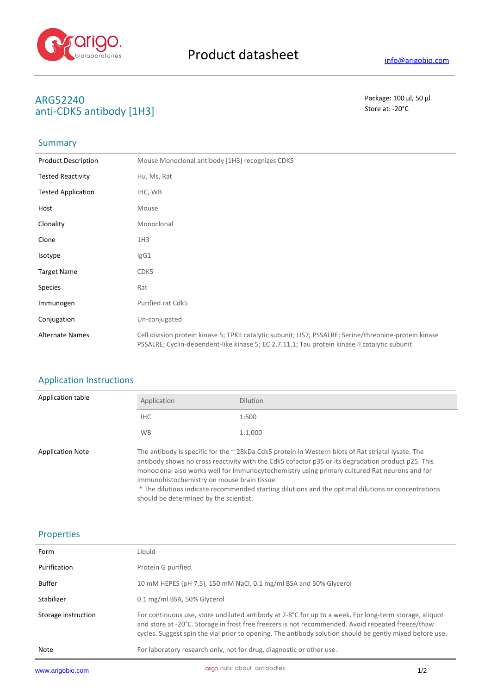

# **ARG52240** Package: 100 μl, 50 μl<br>
anti-CDK5 antibody [1H3] anti-CDK5 antibody [1H3]

### **Summary**

| <b>Product Description</b> | Mouse Monoclonal antibody [1H3] recognizes CDK5                                                                                                                                                          |
|----------------------------|----------------------------------------------------------------------------------------------------------------------------------------------------------------------------------------------------------|
| <b>Tested Reactivity</b>   | Hu, Ms, Rat                                                                                                                                                                                              |
| <b>Tested Application</b>  | IHC, WB                                                                                                                                                                                                  |
| Host                       | Mouse                                                                                                                                                                                                    |
| Clonality                  | Monoclonal                                                                                                                                                                                               |
| Clone                      | 1H <sub>3</sub>                                                                                                                                                                                          |
| Isotype                    | lgG1                                                                                                                                                                                                     |
| <b>Target Name</b>         | CDK5                                                                                                                                                                                                     |
| <b>Species</b>             | Rat                                                                                                                                                                                                      |
| Immunogen                  | Purified rat Cdk5                                                                                                                                                                                        |
| Conjugation                | Un-conjugated                                                                                                                                                                                            |
| <b>Alternate Names</b>     | Cell division protein kinase 5; TPKII catalytic subunit; LIS7; PSSALRE; Serine/threonine-protein kinase<br>PSSALRE; Cyclin-dependent-like kinase 5; EC 2.7.11.1; Tau protein kinase II catalytic subunit |

## Application Instructions

| Application table       | Application                                 | <b>Dilution</b>                                                                                                                                                                                                                                                                                                                                                                                                       |
|-------------------------|---------------------------------------------|-----------------------------------------------------------------------------------------------------------------------------------------------------------------------------------------------------------------------------------------------------------------------------------------------------------------------------------------------------------------------------------------------------------------------|
|                         | IHC.                                        | 1:500                                                                                                                                                                                                                                                                                                                                                                                                                 |
|                         | <b>WB</b>                                   | 1:1,000                                                                                                                                                                                                                                                                                                                                                                                                               |
| <b>Application Note</b> | immunohistochemistry on mouse brain tissue. | The antibody is specific for the $\sim$ 28kDa Cdk5 protein in Western blots of Rat striatal lysate. The<br>antibody shows no cross reactivity with the Cdk5 cofactor p35 or its degradation product p25. This<br>monoclonal also works well for immunocytochemistry using primary cultured Rat neurons and for<br>* The dilutions indicate recommended starting dilutions and the ontimal dilutions or concentrations |

The dilutions indicate recommended starting dilutions and the optimal dilutions or concentrations should be determined by the scientist.

#### Properties

| www.arigobio.com    | arigo nuts about antibodies                                                                                                                                                                                                                                                                                             | 1/2 |
|---------------------|-------------------------------------------------------------------------------------------------------------------------------------------------------------------------------------------------------------------------------------------------------------------------------------------------------------------------|-----|
| Note                | For laboratory research only, not for drug, diagnostic or other use.                                                                                                                                                                                                                                                    |     |
| Storage instruction | For continuous use, store undiluted antibody at 2-8°C for up to a week. For long-term storage, aliquot<br>and store at -20°C. Storage in frost free freezers is not recommended. Avoid repeated freeze/thaw<br>cycles. Suggest spin the vial prior to opening. The antibody solution should be gently mixed before use. |     |
| Stabilizer          | 0.1 mg/ml BSA, 50% Glycerol                                                                                                                                                                                                                                                                                             |     |
| <b>Buffer</b>       | 10 mM HEPES (pH 7.5), 150 mM NaCl, 0.1 mg/ml BSA and 50% Glycerol                                                                                                                                                                                                                                                       |     |
| Purification        | Protein G purified                                                                                                                                                                                                                                                                                                      |     |
| Form                | Liquid                                                                                                                                                                                                                                                                                                                  |     |